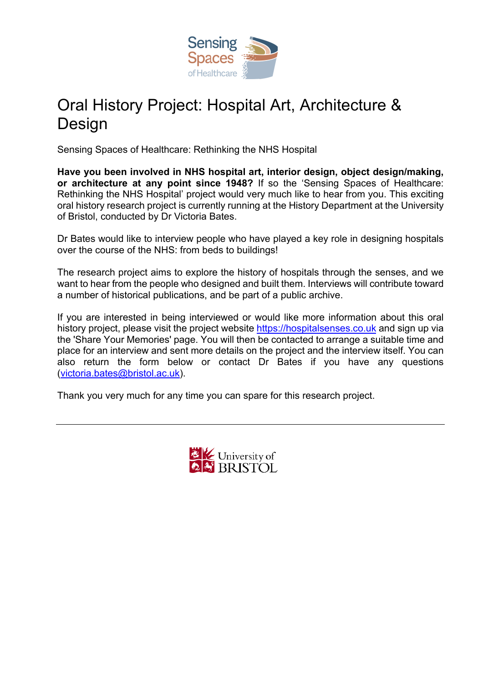

## Oral History Project: Hospital Art, Architecture & Design

Sensing Spaces of Healthcare: Rethinking the NHS Hospital

**Have you been involved in NHS hospital art, interior design, object design/making, or architecture at any point since 1948?** If so the 'Sensing Spaces of Healthcare: Rethinking the NHS Hospital' project would very much like to hear from you. This exciting oral history research project is currently running at the History Department at the University of Bristol, conducted by Dr Victoria Bates.

Dr Bates would like to interview people who have played a key role in designing hospitals over the course of the NHS: from beds to buildings!

The research project aims to explore the history of hospitals through the senses, and we want to hear from the people who designed and built them. Interviews will contribute toward a number of historical publications, and be part of a public archive.

If you are interested in being interviewed or would like more information about this oral history project, please visit the project website https://hospitalsenses.co.uk and sign up via the 'Share Your Memories' page. You will then be contacted to arrange a suitable time and place for an interview and sent more details on the project and the interview itself. You can also return the form below or contact Dr Bates if you have any questions (victoria.bates@bristol.ac.uk).

Thank you very much for any time you can spare for this research project.